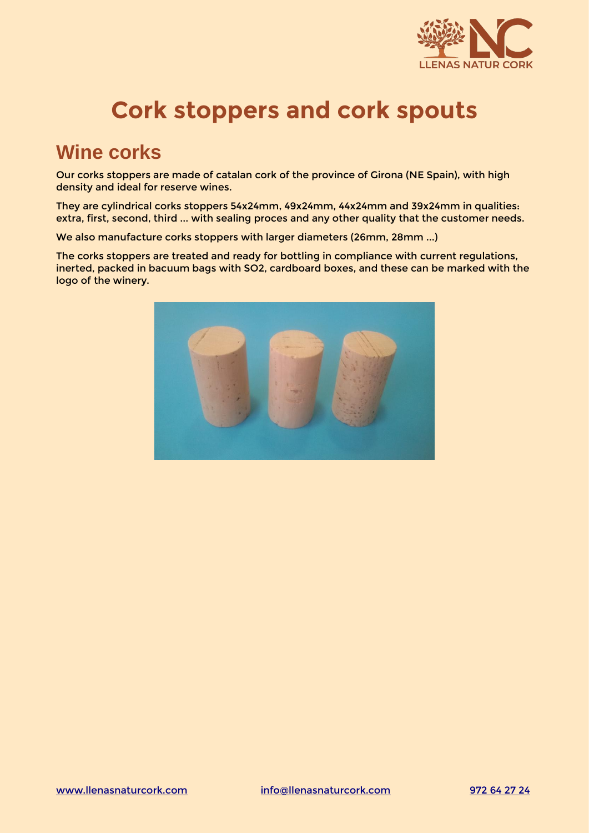

# **Cork stoppers and cork spouts**

### **Wine corks**

Our corks stoppers are made of catalan cork of the province of Girona (NE Spain), with high density and ideal for reserve wines.

They are cylindrical corks stoppers 54x24mm, 49x24mm, 44x24mm and 39x24mm in qualities: extra, first, second, third ... with sealing proces and any other quality that the customer needs.

We also manufacture corks stoppers with larger diameters (26mm, 28mm ...)

The corks stoppers are treated and ready for bottling in compliance with current regulations, inerted, packed in bacuum bags with SO2, cardboard boxes, and these can be marked with the logo of the winery.

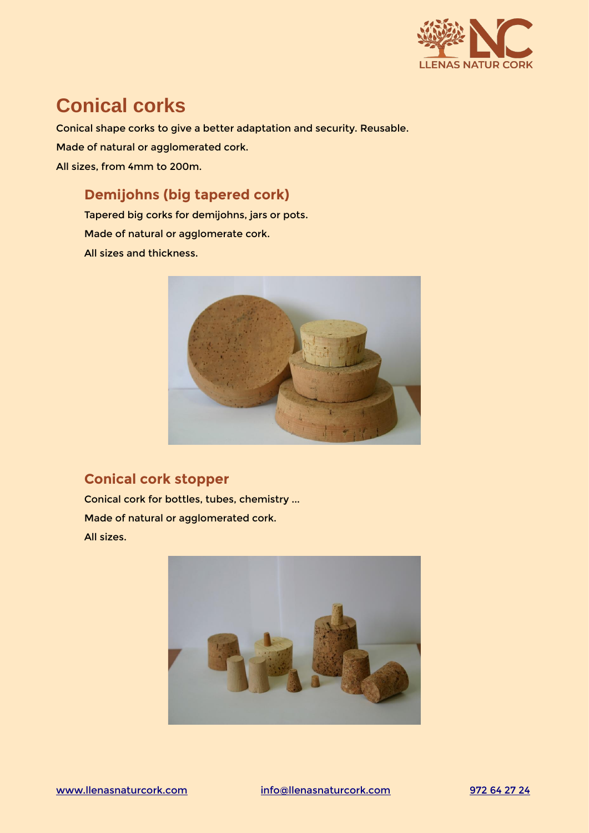

# **Conical corks**

Conical shape corks to give a better adaptation and security. Reusable. Made of natural or agglomerated cork. All sizes, from 4mm to 200m.

#### **Demijohns (big tapered cork)**

Tapered big corks for demijohns, jars or pots. Made of natural or agglomerate cork. All sizes and thickness.



#### **Conical cork stopper**

Conical cork for bottles, tubes, chemistry ... Made of natural or agglomerated cork. All sizes.

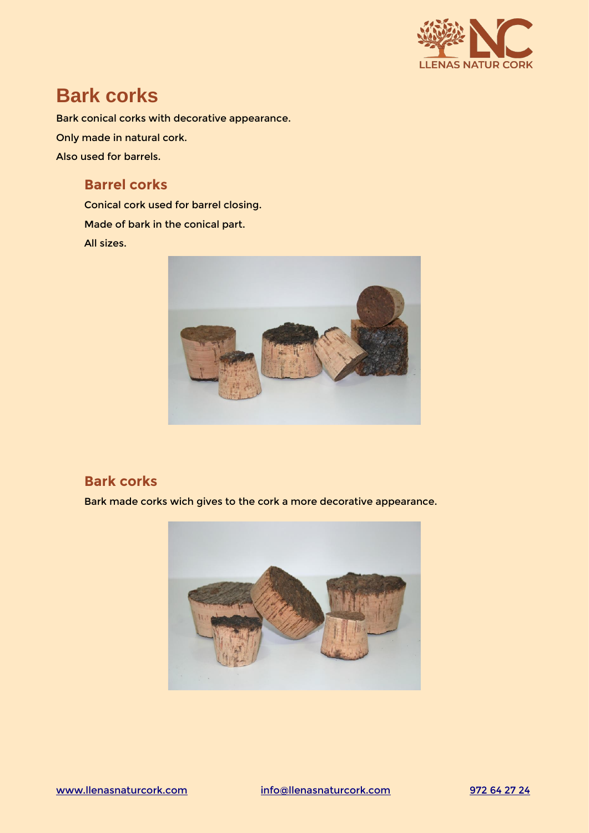

### **Bark corks**

Bark conical corks with decorative appearance. Only made in natural cork. Also used for barrels.

#### **Barrel corks**

Conical cork used for barrel closing. Made of bark in the conical part. All sizes.



#### **Bark corks**

Bark made corks wich gives to the cork a more decorative appearance.

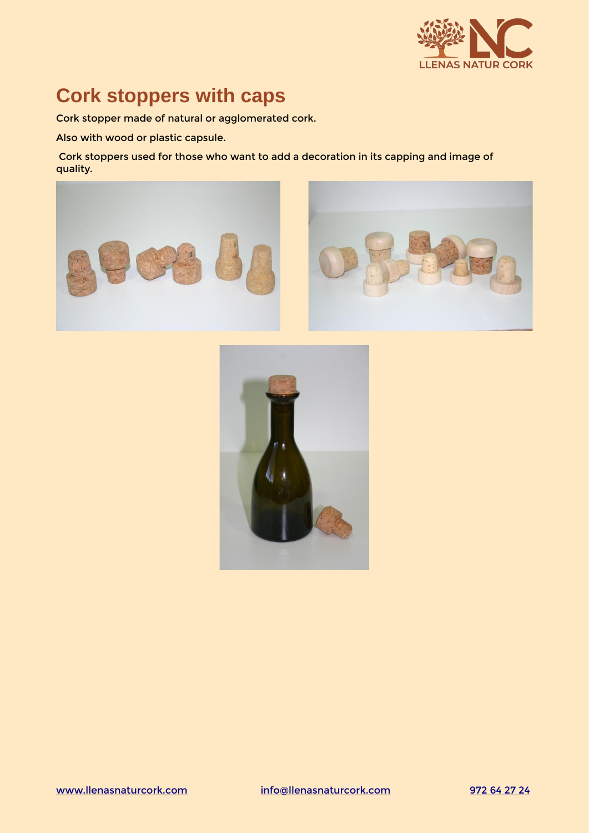

# **Cork stoppers with caps**

Cork stopper made of natural or agglomerated cork.

Also with wood or plastic capsule.

 Cork stoppers used for those who want to add a decoration in its capping and image of quality.





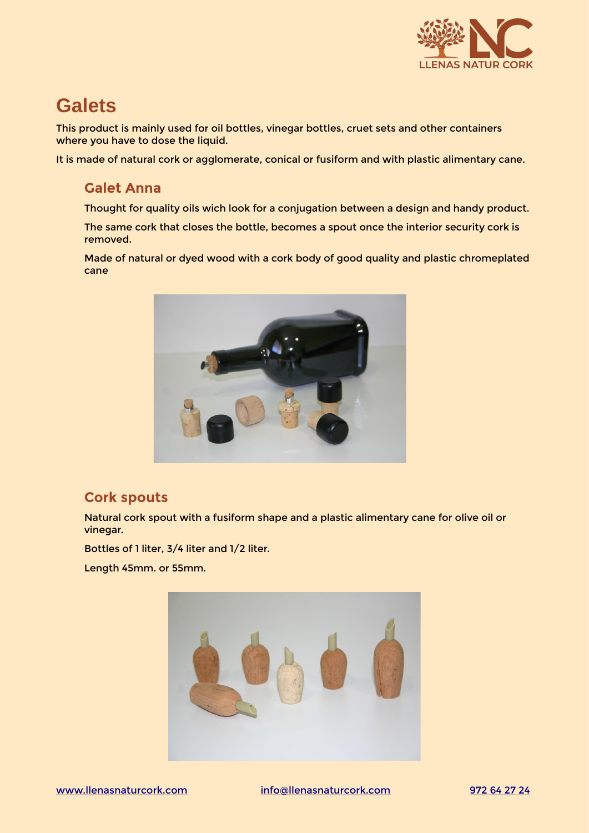

## **Galets**

This product is mainly used for oil bottles, vinegar bottles, cruet sets and other containers where you have to dose the liquid.

It is made of natural cork or agglomerate, conical or fusiform and with plastic alimentary cane.

#### **Galet Anna**

Thought for quality oils wich look for a conjugation between a design and handy product.

The same cork that closes the bottle, becomes a spout once the interior security cork is removed.

Made of natural or dyed wood with a cork body of good quality and plastic chromeplated cane



#### **Cork spouts**

Natural cork spout with a fusiform shape and a plastic alimentary cane for olive oil or vinegar.

Bottles of 1 liter, 3/4 liter and 1/2 liter.

Length 45mm. or 55mm.